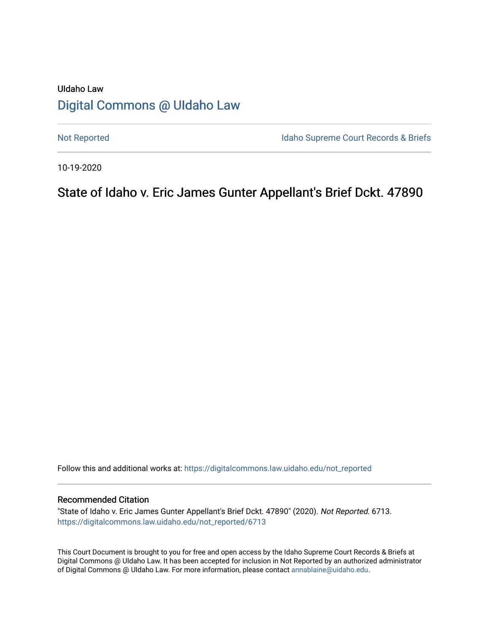# UIdaho Law [Digital Commons @ UIdaho Law](https://digitalcommons.law.uidaho.edu/)

[Not Reported](https://digitalcommons.law.uidaho.edu/not_reported) **Idaho Supreme Court Records & Briefs** 

10-19-2020

# State of Idaho v. Eric James Gunter Appellant's Brief Dckt. 47890

Follow this and additional works at: [https://digitalcommons.law.uidaho.edu/not\\_reported](https://digitalcommons.law.uidaho.edu/not_reported?utm_source=digitalcommons.law.uidaho.edu%2Fnot_reported%2F6713&utm_medium=PDF&utm_campaign=PDFCoverPages) 

#### Recommended Citation

"State of Idaho v. Eric James Gunter Appellant's Brief Dckt. 47890" (2020). Not Reported. 6713. [https://digitalcommons.law.uidaho.edu/not\\_reported/6713](https://digitalcommons.law.uidaho.edu/not_reported/6713?utm_source=digitalcommons.law.uidaho.edu%2Fnot_reported%2F6713&utm_medium=PDF&utm_campaign=PDFCoverPages)

This Court Document is brought to you for free and open access by the Idaho Supreme Court Records & Briefs at Digital Commons @ UIdaho Law. It has been accepted for inclusion in Not Reported by an authorized administrator of Digital Commons @ UIdaho Law. For more information, please contact [annablaine@uidaho.edu](mailto:annablaine@uidaho.edu).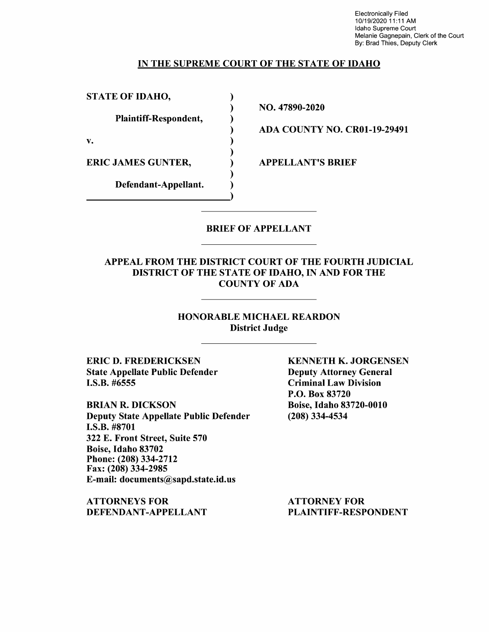Electronically Filed 10/19/2020 11 :11 AM Idaho Supreme Court Melanie Gagnepain, Clerk of the Court By: Brad Thies, Deputy Clerk

#### IN THE SUPREME COURT OF THE STATE OF IDAHO

) ) ) ) ) ) ) ) )

STATE OF IDAHO,

Plaintiff-Respondent,

v.

ERIC JAMES GUNTER,

Defendant-Appellant.

NO. 47890-2020

ADA COUNTY NO. CR0l-19-29491

APPELLANT'S BRIEF

## BRIEF OF APPELLANT

#### APPEAL FROM THE DISTRICT COURT OF THE FOURTH JUDICIAL DISTRICT OF THE STATE OF IDAHO, IN AND FOR THE COUNTY OF ADA

#### HONORABLE MICHAEL REARDON District Judge

ERIC D. FREDERICKSEN State Appellate Public Defender **I.S.B.** #6555

**BRIAN R. DICKSON**  Deputy State Appellate Public Defender **I.S.B.** #8701 322 E. Front Street, Suite 570 Boise, Idaho 83702 Phone:(208)334-2712 Fax: (208) 334-2985 E-mail: documents@sapd.state.id.us

**ATTORNEYS FOR DEFENDANT-APPELLANT**  **KENNETH K. JORGENSEN**  Deputy Attorney General Criminal Law Division P.O. Box 83720 Boise, Idaho 83720-0010 (208) 334-4534

ATTORNEY FOR PLAINTIFF-RESPONDENT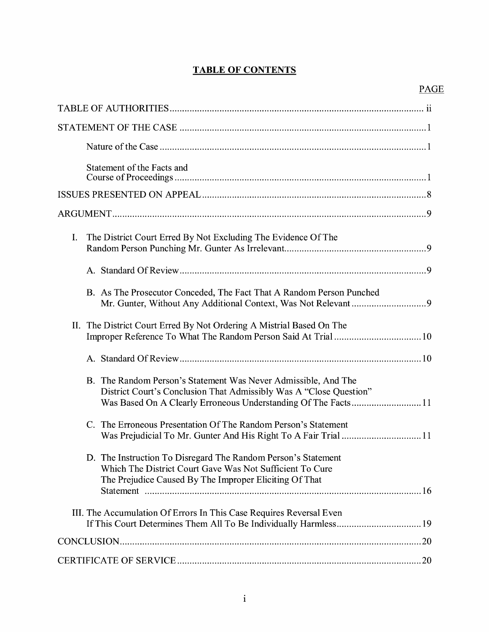# **TABLE OF CONTENTS**

| Statement of the Facts and                                                                                                                                                          |
|-------------------------------------------------------------------------------------------------------------------------------------------------------------------------------------|
|                                                                                                                                                                                     |
|                                                                                                                                                                                     |
| I.<br>The District Court Erred By Not Excluding The Evidence Of The                                                                                                                 |
|                                                                                                                                                                                     |
| B. As The Prosecutor Conceded, The Fact That A Random Person Punched                                                                                                                |
| II. The District Court Erred By Not Ordering A Mistrial Based On The                                                                                                                |
|                                                                                                                                                                                     |
| B. The Random Person's Statement Was Never Admissible, And The<br>District Court's Conclusion That Admissibly Was A "Close Question"                                                |
| C. The Erroneous Presentation Of The Random Person's Statement                                                                                                                      |
| D. The Instruction To Disregard The Random Person's Statement<br>Which The District Court Gave Was Not Sufficient To Cure<br>The Prejudice Caused By The Improper Eliciting Of That |
| III. The Accumulation Of Errors In This Case Requires Reversal Even                                                                                                                 |
|                                                                                                                                                                                     |
|                                                                                                                                                                                     |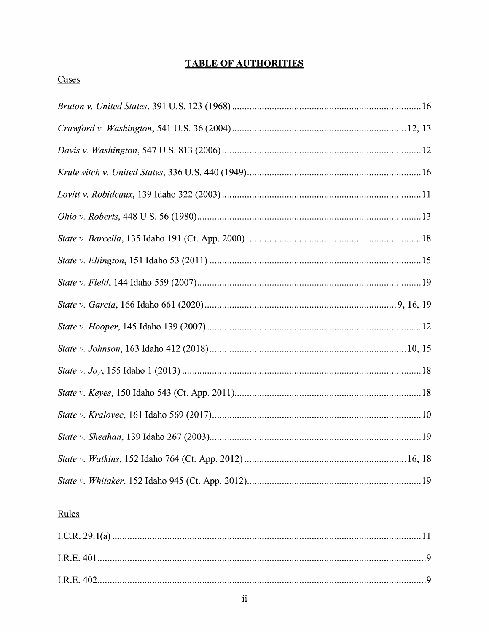## **TABLE OF AUTHORITIES**

## Cases

## Rules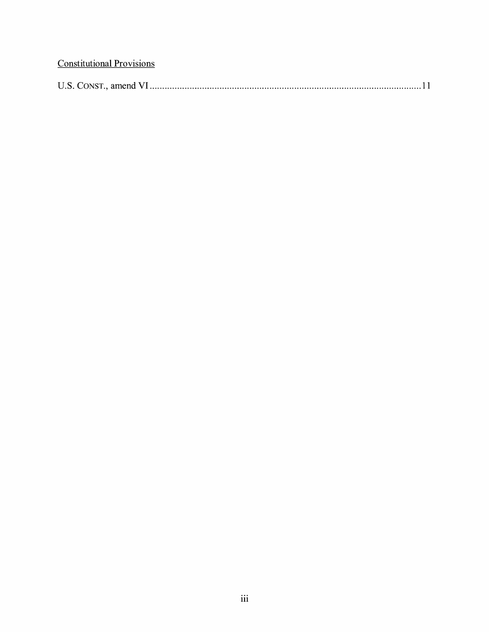# **Constitutional Provisions**

| <b>IIS CONST</b><br>amend |  |
|---------------------------|--|
|---------------------------|--|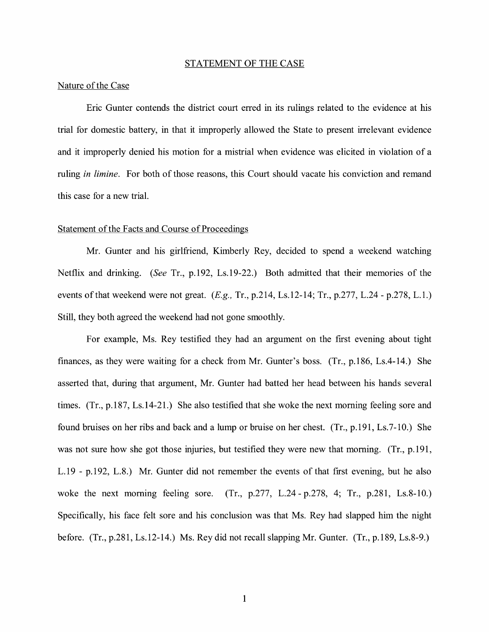#### STATEMENT OF THE CASE

#### Nature of the Case

Eric Gunter contends the district court erred in its rulings related to the evidence at his trial for domestic battery, in that it improperly allowed the State to present irrelevant evidence and it improperly denied his motion for a mistrial when evidence was elicited in violation of a ruling *in limine.* For both of those reasons, this Court should vacate his conviction and remand this case for a new trial.

#### Statement of the Facts and Course of Proceedings

Mr. Gunter and his girlfriend, Kimberly Rey, decided to spend a weekend watching Netflix and drinking. (See Tr., p.192, Ls.19-22.) Both admitted that their memories of the events of that weekend were not great.  $(E.g., Tr., p.214, Ls.12-14; Tr., p.277, L.24 - p.278, L.1.)$ Still, they both agreed the weekend had not gone smoothly.

For example, Ms. Rey testified they had an argument on the first evening about tight finances, as they were waiting for a check from Mr. Gunter's boss. (Tr., p.186, Ls.4-14.) She asserted that, during that argument, Mr. Gunter had batted her head between his hands several times. (Tr., p.187, Ls.14-21.) She also testified that she woke the next morning feeling sore and found bruises on her ribs and back and a lump or bruise on her chest. (Tr., p.191, Ls.7-10.) She was not sure how she got those injuries, but testified they were new that morning. (Tr., p.191, L.19 - p.192, L.8.) Mr. Gunter did not remember the events of that first evening, but he also woke the next morning feeling sore. (Tr., p.277, L.24 - p.278, 4; Tr., p.281, Ls.8-10.) Specifically, his face felt sore and his conclusion was that Ms. Rey had slapped him the night before. (Tr., p.281, Ls.12-14.) Ms. Rey did not recall slapping Mr. Gunter. (Tr., p.189, Ls.8-9.)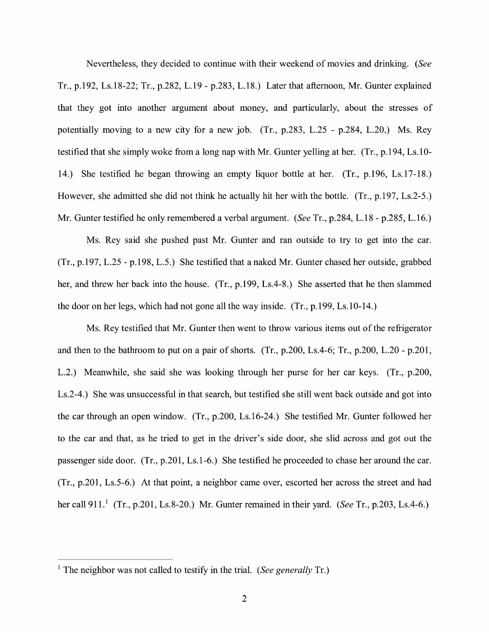Nevertheless, they decided to continue with their weekend of movies and drinking. *(See*  Tr., p.192, Ls.18-22; Tr., p.282, L.19 - p.283, L.18.) Later that afternoon, Mr. Gunter explained that they got into another argument about money, and particularly, about the stresses of potentially moving to a new city for a new job. (Tr., p.283, L.25 - p.284, L.20.) Ms. Rey testified that she simply woke from a long nap with Mr. Gunter yelling at her. (Tr., p.194, Ls.10-14.) She testified he began throwing an empty liquor bottle at her. (Tr., p.196, Ls.17-18.) However, she admitted she did not think he actually hit her with the bottle. (Tr., p.197, Ls.2-5.) Mr. Gunter testified he only remembered a verbal argument. *(See* Tr., p.284, L.18 - p.285, L.16.)

Ms. Rey said she pushed past Mr. Gunter and ran outside to try to get into the car. (Tr., p.197, L.25 - p.198, L.5.) She testified that a naked Mr. Gunter chased her outside, grabbed her, and threw her back into the house. (Tr., p.199, Ls.4-8.) She asserted that he then slammed the door on her legs, which had not gone all the way inside. (Tr., p.199, Ls.10-14.)

Ms. Rey testified that Mr. Gunter then went to throw various items out of the refrigerator and then to the bathroom to put on a pair of shorts. (Tr., p.200, Ls.4-6; Tr., p.200, L.20 - p.201, L.2.) Meanwhile, she said she was looking through her purse for her car keys. (Tr., p.200, Ls.2-4.) She was unsuccessful in that search, but testified she still went back outside and got into the car through an open window. (Tr., p.200, Ls.16-24.) She testified Mr. Gunter followed her to the car and that, as he tried to get in the driver's side door, she slid across and got out the passenger side door. (Tr., p.201, Ls.1-6.) She testified he proceeded to chase her around the car. (Tr., p.201, Ls.5-6.) At that point, a neighbor came over, escorted her across the street and had her call 911.<sup>1</sup> (Tr., p.201, Ls.8-20.) Mr. Gunter remained in their yard. *(See Tr., p.203, Ls.4-6.)* 

<sup>1</sup> The neighbor was not called to testify in the trial. *(See generally* Tr.)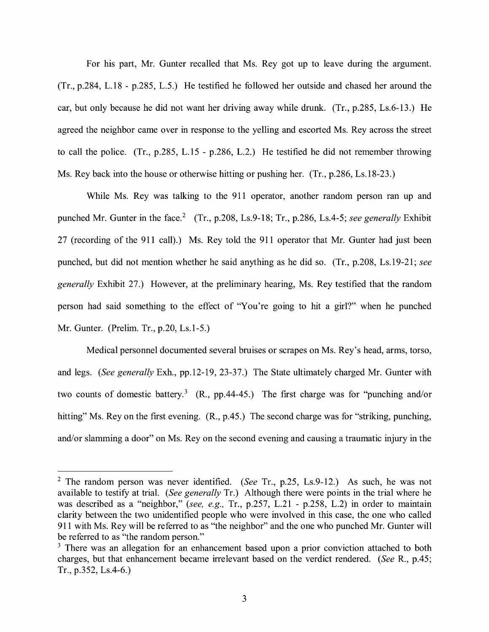For his part, Mr. Gunter recalled that Ms. Rey got up to leave during the argument. (Tr., p.284, L.18 - p.285, L.5.) He testified he followed her outside and chased her around the car, but only because he did not want her driving away while drunk. (Tr., p.285, Ls.6-13.) He agreed the neighbor came over in response to the yelling and escorted Ms. Rey across the street to call the police. (Tr., p.285, L.15 - p.286, L.2.) He testified he did not remember throwing Ms. Rey back into the house or otherwise hitting or pushing her. (Tr., p.286, Ls.18-23.)

While Ms. Rey was talking to the 911 operator, another random person ran up and punched Mr. Gunter in the face.<sup>2</sup> (Tr., p.208, Ls.9-18; Tr., p.286, Ls.4-5; *see generally* Exhibit 27 (recording of the 911 call).) Ms. Rey told the 911 operator that Mr. Gunter had just been punched, but did not mention whether he said anything as he did so. (Tr., p.208, Ls.19-21; *see generally* Exhibit 27.) However, at the preliminary hearing, Ms. Rey testified that the random person had said something to the effect of "You're going to hit a girl?" when he punched Mr. Gunter. (Prelim. Tr., p.20, Ls.1-5.)

Medical personnel documented several bruises or scrapes on Ms. Rey's head, arms, torso, and legs. *(See generally* Exh., pp.12-19, 23-37.) The State ultimately charged Mr. Gunter with two counts of domestic battery.<sup>3</sup> (R., pp.44-45.) The first charge was for "punching and/or hitting" Ms. Rey on the first evening.  $(R, p.45)$  The second charge was for "striking, punching, and/or slamming a door" on Ms. Rey on the second evening and causing a traumatic injury in the

<sup>2</sup>The random person was never identified. *(See* Tr., p.25, Ls.9-12.) As such, he was not available to testify at trial. *(See generally* Tr.) Although there were points in the trial where he was described as a "neighbor," *(see, e.g.,* Tr., p.257, L.21 - p.258, L.2) in order to maintain clarity between the two unidentified people who were involved in this case, the one who called 911 with Ms. Rey will be referred to as "the neighbor" and the one who punched Mr. Gunter will be referred to as "the random person."

<sup>&</sup>lt;sup>3</sup> There was an allegation for an enhancement based upon a prior conviction attached to both charges, but that enhancement became irrelevant based on the verdict rendered. *(See* R., p.45; Tr., p.352, Ls.4-6.)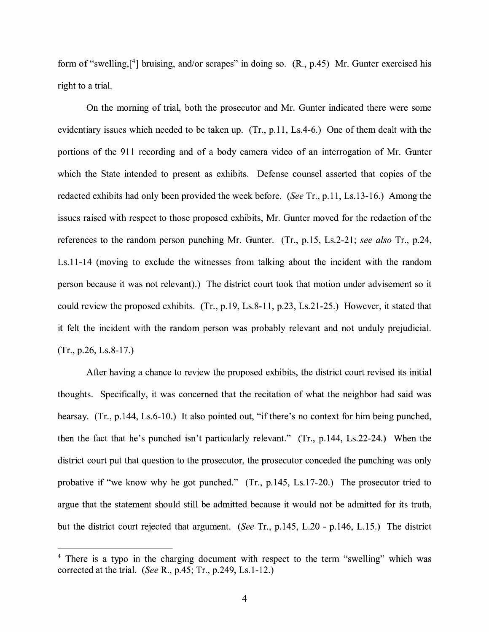form of "swelling,[<sup>4</sup>] bruising, and/or scrapes" in doing so. (R., p.45) Mr. Gunter exercised his right to a trial.

On the morning of trial, both the prosecutor and Mr. Gunter indicated there were some evidentiary issues which needed to be taken up. (Tr., p.11, Ls.4-6.) One of them dealt with the portions of the 911 recording and of a body camera video of an interrogation of Mr. Gunter which the State intended to present as exhibits. Defense counsel asserted that copies of the redacted exhibits had only been provided the week before. *(See* Tr., p.11, Ls.13-16.) Among the issues raised with respect to those proposed exhibits, Mr. Gunter moved for the redaction of the references to the random person punching Mr. Gunter. (Tr., p.15, Ls.2-21; *see also* Tr., p.24, Ls.11-14 (moving to exclude the witnesses from talking about the incident with the random person because it was not relevant).) The district court took that motion under advisement so it could review the proposed exhibits. (Tr., p.19, Ls.8-11, p.23, Ls.21-25.) However, it stated that it felt the incident with the random person was probably relevant and not unduly prejudicial. (Tr., p.26, Ls.8-17.)

After having a chance to review the proposed exhibits, the district court revised its initial thoughts. Specifically, it was concerned that the recitation of what the neighbor had said was hearsay. (Tr., p.144, Ls.6-10.) It also pointed out, "if there's no context for him being punched, then the fact that he's punched isn't particularly relevant." (Tr., p.144, Ls.22-24.) When the district court put that question to the prosecutor, the prosecutor conceded the punching was only probative if "we know why he got punched." (Tr., p.145, Ls.17-20.) The prosecutor tried to argue that the statement should still be admitted because it would not be admitted for its truth, but the district court rejected that argument. *(See* Tr., p.145, L.20 - p.146, L.15.) The district

<sup>&</sup>lt;sup>4</sup> There is a typo in the charging document with respect to the term "swelling" which was corrected at the trial. *(See* R., p.45; Tr., p.249, Ls.1-12.)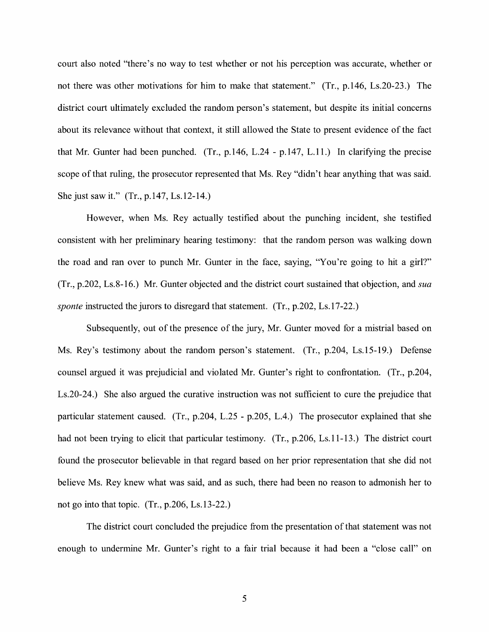court also noted "there's no way to test whether or not his perception was accurate, whether or not there was other motivations for him to make that statement." (Tr., p.146, Ls.20-23.) The district court ultimately excluded the random person's statement, but despite its initial concerns about its relevance without that context, it still allowed the State to present evidence of the fact that Mr. Gunter had been punched. (Tr., p.146, L.24 - p.147, L.11.) In clarifying the precise scope of that ruling, the prosecutor represented that Ms. Rey "didn't hear anything that was said. She just saw it." (Tr., p.147, Ls.12-14.)

However, when Ms. Rey actually testified about the punching incident, she testified consistent with her preliminary hearing testimony: that the random person was walking down the road and ran over to punch Mr. Gunter in the face, saying, "You're going to hit a girl?" (Tr., p.202, Ls.8-16.) Mr. Gunter objected and the district court sustained that objection, and *sua sponte* instructed the jurors to disregard that statement. (Tr., p.202, Ls.17-22.)

Subsequently, out of the presence of the jury, Mr. Gunter moved for a mistrial based on Ms. Rey's testimony about the random person's statement. (Tr., p.204, Ls.15-19.) Defense counsel argued it was prejudicial and violated Mr. Gunter's right to confrontation. (Tr., p.204, Ls.20-24.) She also argued the curative instruction was not sufficient to cure the prejudice that particular statement caused. (Tr., p.204, L.25 - p.205, L.4.) The prosecutor explained that she had not been trying to elicit that particular testimony. (Tr., p.206, Ls.11-13.) The district court found the prosecutor believable in that regard based on her prior representation that she did not believe Ms. Rey knew what was said, and as such, there had been no reason to admonish her to not go into that topic. (Tr., p.206, Ls.13-22.)

The district court concluded the prejudice from the presentation of that statement was not enough to undermine Mr. Gunter's right to a fair trial because it had been a "close call" on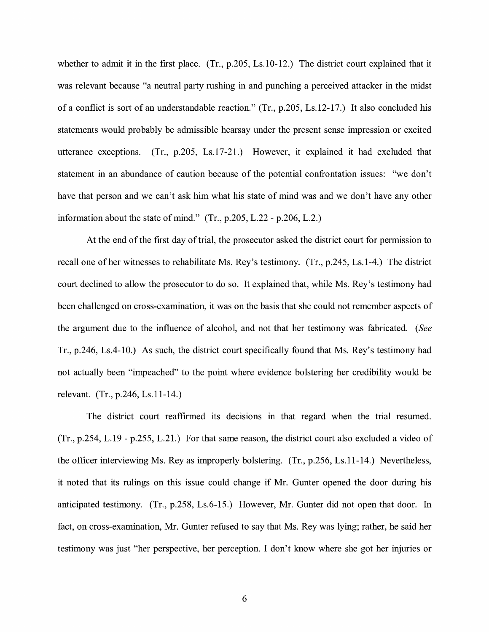whether to admit it in the first place. (Tr., p.205, Ls.10-12.) The district court explained that it was relevant because "a neutral party rushing in and punching a perceived attacker in the midst of a conflict is sort of an understandable reaction." (Tr., p.205, Ls.12-17.) It also concluded his statements would probably be admissible hearsay under the present sense impression or excited utterance exceptions. (Tr., p.205, Ls.17-21.) However, it explained it had excluded that statement in an abundance of caution because of the potential confrontation issues: "we don't have that person and we can't ask him what his state of mind was and we don't have any other information about the state of mind." (Tr., p.205, L.22 - p.206, L.2.)

At the end of the first day of trial, the prosecutor asked the district court for permission to recall one of her witnesses to rehabilitate Ms. Rey's testimony. (Tr., p.245, Ls.1-4.) The district court declined to allow the prosecutor to do so. It explained that, while Ms. Rey's testimony had been challenged on cross-examination, it was on the basis that she could not remember aspects of the argument due to the influence of alcohol, and not that her testimony was fabricated. *(See*  Tr., p.246, Ls.4-10.) As such, the district court specifically found that Ms. Rey's testimony had not actually been "impeached" to the point where evidence bolstering her credibility would be relevant. (Tr., p.246, Ls.11-14.)

The district court reaffirmed its decisions in that regard when the trial resumed. (Tr., p.254, L.19 - p.255, L.21.) For that same reason, the district court also excluded a video of the officer interviewing Ms. Rey as improperly bolstering. (Tr., p.256, Ls.11-14.) Nevertheless, it noted that its rulings on this issue could change if Mr. Gunter opened the door during his anticipated testimony. (Tr., p.258, Ls.6-15.) However, Mr. Gunter did not open that door. In fact, on cross-examination, Mr. Gunter refused to say that Ms. Rey was lying; rather, he said her testimony was just "her perspective, her perception. I don't know where she got her injuries or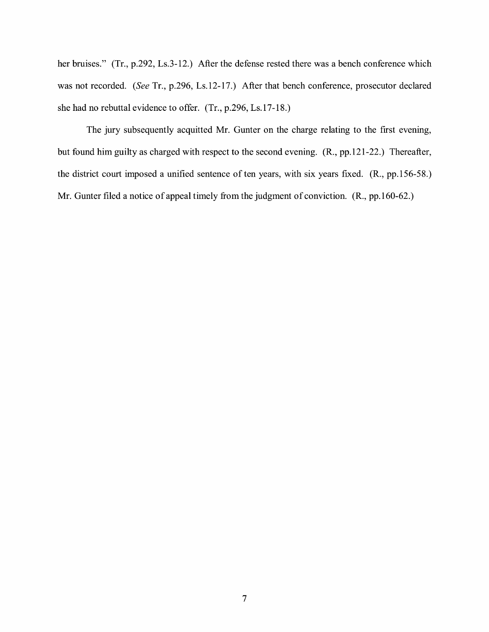her bruises." (Tr., p.292, Ls.3-12.) After the defense rested there was a bench conference which was not recorded. *(See* Tr., p.296, Ls.12-17.) After that bench conference, prosecutor declared she had no rebuttal evidence to offer. (Tr., p.296, Ls.17-18.)

The jury subsequently acquitted Mr. Gunter on the charge relating to the first evening, but found him guilty as charged with respect to the second evening. **(R.,** pp.121-22.) Thereafter, the district court imposed a unified sentence of ten years, with six years fixed. (R., pp.156-58.) Mr. Gunter filed a notice of appeal timely from the judgment of conviction. **(R.,** pp.160-62.)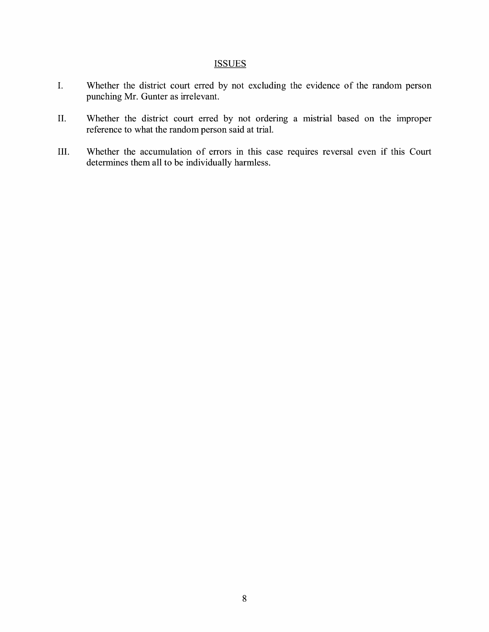### **ISSUES**

- I. Whether the district court erred by not excluding the evidence of the random person punching Mr. Gunter as irrelevant.
- II. Whether the district court erred by not ordering a mistrial based on the improper reference to what the random person said at trial.
- III. Whether the accumulation of errors in this case requires reversal even if this Court determines them all to be individually harmless.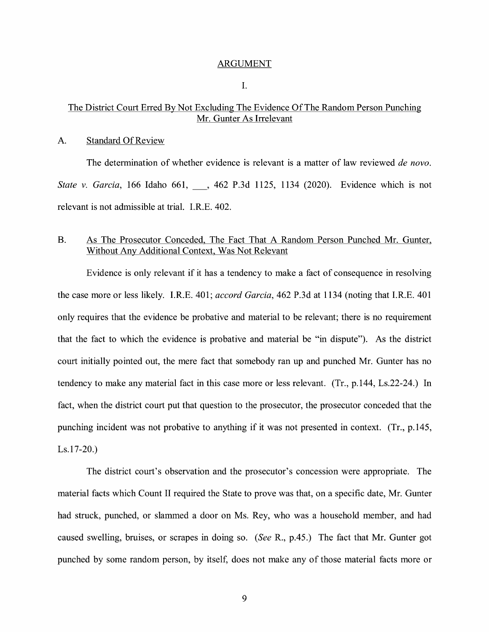#### ARGUMENT

I.

#### The District Court Erred By Not Excluding The Evidence Of The Random Person Punching Mr. Gunter As Irrelevant

#### A. Standard Of Review

The determination of whether evidence is relevant is a matter of law reviewed *de nova. State v. Garcia,* 166 Idaho 661, \_, 462 P.3d 1125, 1134 (2020). Evidence which is not relevant is not admissible at trial. I.R.E. 402.

#### B. As The Prosecutor Conceded, The Fact That A Random Person Punched Mr. Gunter, Without Any Additional Context, Was Not Relevant

Evidence is only relevant if it has a tendency to make a fact of consequence in resolving the case more or less likely. I.R.E. 401; *accord Garcia,* 462 P.3d at 1134 (noting that I.RE. 401 only requires that the evidence be probative and material to be relevant; there is no requirement that the fact to which the evidence is probative and material be "in dispute"). As the district court initially pointed out, the mere fact that somebody ran up and punched Mr. Gunter has no tendency to make any material fact in this case more or less relevant. (Tr., p.144, Ls.22-24.) In fact, when the district court put that question to the prosecutor, the prosecutor conceded that the punching incident was not probative to anything if it was not presented in context. (Tr., p.145, Ls.17-20.)

The district court's observation and the prosecutor's concession were appropriate. The material facts which Count II required the State to prove was that, on a specific date, Mr. Gunter had struck, punched, or slammed a door on Ms. Rey, who was a household member, and had caused swelling, bruises, or scrapes in doing so. *(See* R., p.45.) The fact that Mr. Gunter got punched by some random person, by itself, does not make any of those material facts more or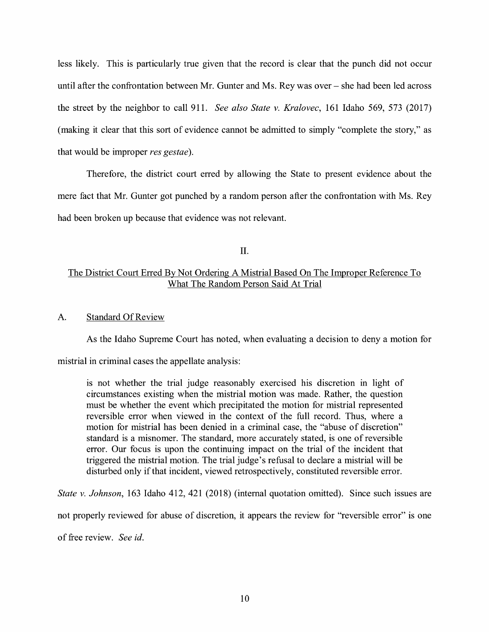less likely. This is particularly true given that the record is clear that the punch did not occur until after the confrontation between Mr. Gunter and Ms. Rey was over  $-$  she had been led across the street by the neighbor to call 911. *See also State v. Kralovec,* 161 Idaho 569, 573 (2017) (making it clear that this sort of evidence cannot be admitted to simply "complete the story," as that would be improper *res gestae).* 

Therefore, the district court erred by allowing the State to present evidence about the mere fact that Mr. Gunter got punched by a random person after the confrontation with Ms. Rey had been broken up because that evidence was not relevant.

II.

## The District Court Erred By Not Ordering A Mistrial Based On The Improper Reference To What The Random Person Said At Trial

#### A. Standard Of Review

As the Idaho Supreme Court has noted, when evaluating a decision to deny a motion for

mistrial in criminal cases the appellate analysis:

is not whether the trial judge reasonably exercised his discretion in light of circumstances existing when the mistrial motion was made. Rather, the question must be whether the event which precipitated the motion for mistrial represented reversible error when viewed in the context of the full record. Thus, where a motion for mistrial has been denied in a criminal case, the "abuse of discretion" standard is a misnomer. The standard, more accurately stated, is one of reversible error. Our focus is upon the continuing impact on the trial of the incident that triggered the mistrial motion. The trial judge's refusal to declare a mistrial will be disturbed only if that incident, viewed retrospectively, constituted reversible error.

*State v. Johnson,* 163 Idaho 412, 421 (2018) (internal quotation omitted). Since such issues are

not properly reviewed for abuse of discretion, it appears the review for "reversible error" is one

of free review. *See id.*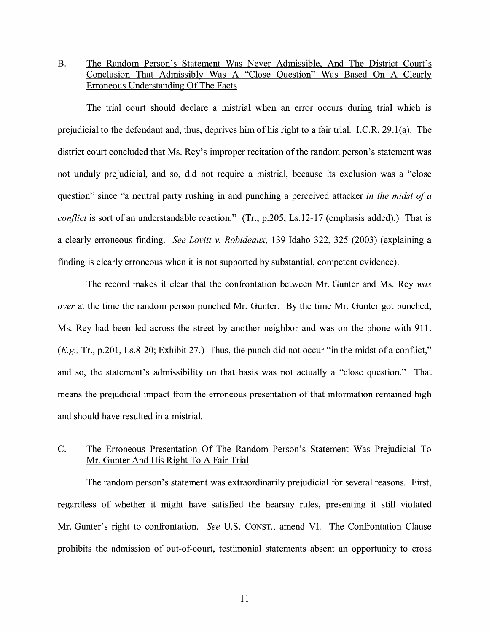### B. The Random Person's Statement Was Never Admissible, And The District Court's Conclusion That Admissibly Was A "Close Question" Was Based On A Clearly Erroneous Understanding Of The Facts

The trial court should declare a mistrial when an error occurs during trial which is prejudicial to the defendant and, thus, deprives him of his right to a fair trial. I.C.R. 29.l(a). The district court concluded that Ms. Rey's improper recitation of the random person's statement was not unduly prejudicial, and so, did not require a mistrial, because its exclusion was a "close question" since "a neutral party rushing in and punching a perceived attacker *in the midst of a conflict* is sort of an understandable reaction." (Tr., p.205, Ls.12-17 (emphasis added).) That is a clearly erroneous finding. *See Lovitt v. Robideaux,* 139 Idaho 322, 325 (2003) (explaining a finding is clearly erroneous when it is not supported by substantial, competent evidence).

The record makes it clear that the confrontation between Mr. Gunter and Ms. Rey *was over* at the time the random person punched Mr. Gunter. By the time Mr. Gunter got punched, Ms. Rey had been led across the street by another neighbor and was on the phone with 911. *(E.g.,* Tr., p.201, Ls.8-20; Exhibit 27.) Thus, the punch did not occur "in the midst of a conflict," and so, the statement's admissibility on that basis was not actually a "close question." That means the prejudicial impact from the erroneous presentation of that information remained high and should have resulted in a mistrial.

### C. The Erroneous Presentation Of The Random Person's Statement Was Prejudicial To Mr. Gunter And His Right To A Fair Trial

The random person's statement was extraordinarily prejudicial for several reasons. First, regardless of whether it might have satisfied the hearsay rules, presenting it still violated Mr. Gunter's right to confrontation. *See* U.S. CONST., amend VI. The Confrontation Clause prohibits the admission of out-of-court, testimonial statements absent an opportunity to cross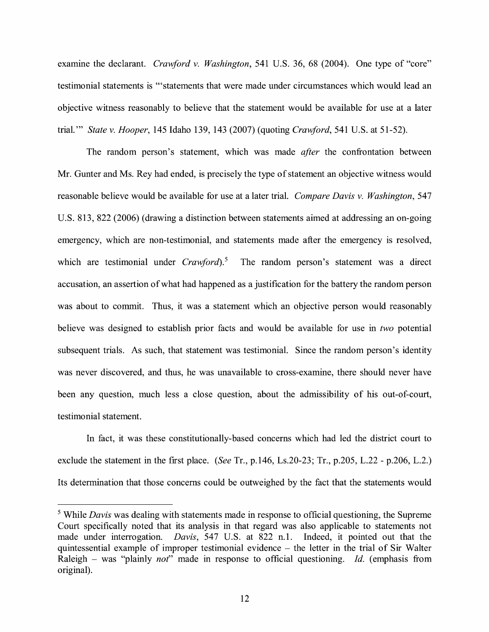examine the declarant. *Crawford v. Washington*, 541 U.S. 36, 68 (2004). One type of "core" testimonial statements is '"statements that were made under circumstances which would lead an objective witness reasonably to believe that the statement would be available for use at a later trial."' *State v. Hooper,* 145 Idaho 139, 143 (2007) (quoting *Crawford,* 541 U.S. at 51-52).

The random person's statement, which was made *after* the confrontation between Mr. Gunter and Ms. Rey had ended, is precisely the type of statement an objective witness would reasonable believe would be available for use at a later trial. *Compare Davis v. Washington,* 547 U.S. 813, 822 (2006) (drawing a distinction between statements aimed at addressing an on-going emergency, which are non-testimonial, and statements made after the emergency is resolved, which are testimonial under *Crawford*).<sup>5</sup> The random person's statement was a direct accusation, an assertion of what had happened as a justification for the battery the random person was about to commit. Thus, it was a statement which an objective person would reasonably believe was designed to establish prior facts and would be available for use in *two* potential subsequent trials. As such, that statement was testimonial. Since the random person's identity was never discovered, and thus, he was unavailable to cross-examine, there should never have been any question, much less a close question, about the admissibility of his out-of-court, testimonial statement.

In fact, it was these constitutionally-based concerns which had led the district court to exclude the statement in the first place. *(See* Tr., p.146, Ls.20-23; Tr., p.205, L.22 - p.206, L.2.) Its determination that those concerns could be outweighed by the fact that the statements would

<sup>5</sup> While *Davis* was dealing with statements made in response to official questioning, the Supreme Court specifically noted that its analysis in that regard was also applicable to statements not made under interrogation. *Davis,* 547 U.S. at 822 n.1. Indeed, it pointed out that the quintessential example of improper testimonial evidence – the letter in the trial of Sir Walter Raleigh – was "plainly *not*" made in response to official questioning. *Id.* (emphasis from original).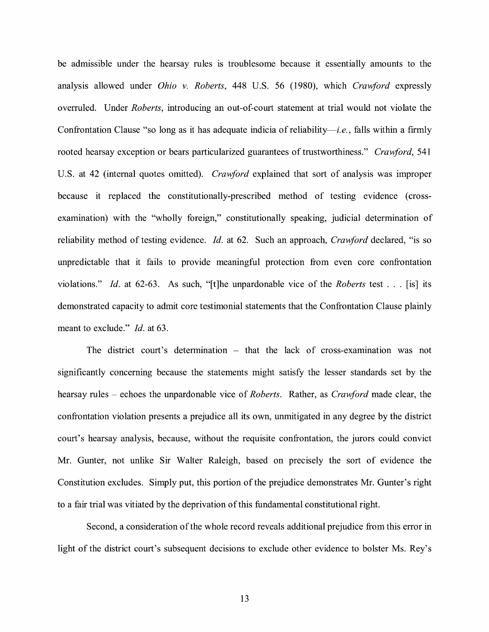be admissible under the hearsay rules is troublesome because it essentially amounts to the analysis allowed under *Ohio v. Roberts*, 448 U.S. 56 (1980), which *Crawford* expressly overruled. Under *Roberts,* introducing an out-of-court statement at trial would not violate the Confrontation Clause "so long as it has adequate indicia of reliability—*i.e.*, falls within a firmly rooted hearsay exception or bears particularized guarantees of trustworthiness." *Crawford,* 541 U.S. at 42 (internal quotes omitted). *Crawford* explained that sort of analysis was improper because it replaced the constitutionally-prescribed method of testing evidence ( crossexamination) with the "wholly foreign," constitutionally speaking, judicial determination of reliability method of testing evidence. *Id.* at 62. Such an approach, *Crawford* declared, "is so unpredictable that it fails to provide meaningful protection from even core confrontation violations." *Id.* at 62-63. As such, "[t]he unpardonable vice of the *Roberts* test ... [is] its demonstrated capacity to admit core testimonial statements that the Confrontation Clause plainly meant to exclude." *Id.* at 63.

The district court's determination - that the lack of cross-examination was not significantly concerning because the statements might satisfy the lesser standards set by the hearsay rules – echoes the unpardonable vice of *Roberts*. Rather, as *Crawford* made clear, the confrontation violation presents a prejudice all its own, unmitigated in any degree by the district court's hearsay analysis, because, without the requisite confrontation, the jurors could convict Mr. Gunter, not unlike Sir Walter Raleigh, based on precisely the sort of evidence the Constitution excludes. Simply put, this portion of the prejudice demonstrates Mr. Gunter's right to a fair trial was vitiated by the deprivation of this fundamental constitutional right.

Second, a consideration of the whole record reveals additional prejudice from this error in light of the district court's subsequent decisions to exclude other evidence to bolster Ms. Rey's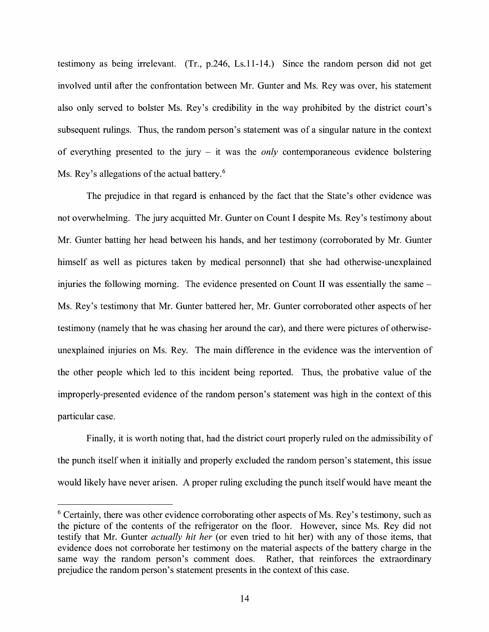testimony as being irrelevant. (Tr., p.246, Ls.11-14.) Since the random person did not get involved until after the confrontation between Mr. Gunter and Ms. Rey was over, his statement also only served to bolster Ms. Rey's credibility in the way prohibited by the district court's subsequent rulings. Thus, the random person's statement was of a singular nature in the context of everything presented to the jury - it was the *only* contemporaneous evidence bolstering Ms. Rey's allegations of the actual battery.<sup>6</sup>

The prejudice in that regard is enhanced by the fact that the State's other evidence was not overwhelming. The jury acquitted Mr. Gunter on Count I despite Ms. Rey's testimony about Mr. Gunter batting her head between his hands, and her testimony (corroborated by Mr. Gunter himself as well as pictures taken by medical personnel) that she had otherwise-unexplained injuries the following morning. The evidence presented on Count II was essentially the same – Ms. Rey's testimony that Mr. Gunter battered her, Mr. Gunter corroborated other aspects of her testimony (namely that he was chasing her around the car), and there were pictures of otherwiseunexplained injuries on Ms. Rey. The main difference in the evidence was the intervention of the other people which led to this incident being reported. Thus, the probative value of the improperly-presented evidence of the random person's statement was high in the context of this particular case.

Finally, it is worth noting that, had the district court properly ruled on the admissibility of the punch itself when it initially and properly excluded the random person's statement, this issue would likely have never arisen. A proper ruling excluding the punch itself would have meant the

 $6$  Certainly, there was other evidence corroborating other aspects of Ms. Rey's testimony, such as the picture of the contents of the refrigerator on the floor. However, since Ms. Rey did not testify that Mr. Gunter *actually hit her* (or even tried to hit her) with any of those items, that evidence does not corroborate her testimony on the material aspects of the battery charge in the same way the random person's comment does. Rather, that reinforces the extraordinary prejudice the random person's statement presents in the context of this case.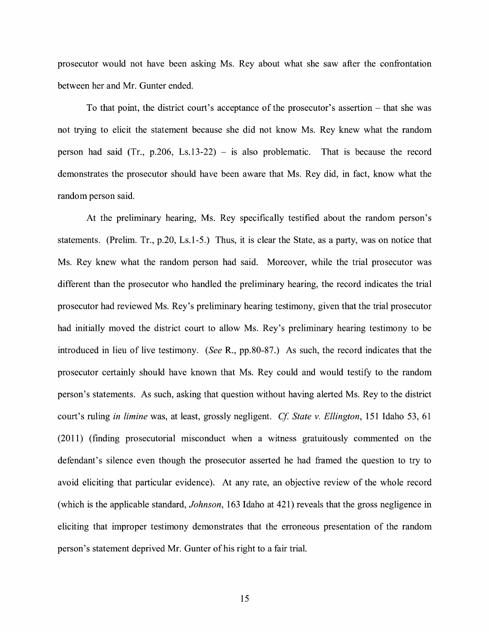prosecutor would not have been asking Ms. Rey about what she saw after the confrontation between her and Mr. Gunter ended.

To that point, the district court's acceptance of the prosecutor's assertion - that she was not trying to elicit the statement because she did not know Ms. Rey knew what the random person had said (Tr.,  $p.206$ , Ls.13-22) – is also problematic. That is because the record demonstrates the prosecutor should have been aware that Ms. Rey did, in fact, know what the random person said.

At the preliminary hearing, Ms. Rey specifically testified about the random person's statements. (Prelim. Tr., p.20, Ls.1-5.) Thus, it is clear the State, as a party, was on notice that Ms. Rey knew what the random person had said. Moreover, while the trial prosecutor was different than the prosecutor who handled the preliminary hearing, the record indicates the trial prosecutor had reviewed Ms. Rey's preliminary hearing testimony, given that the trial prosecutor had initially moved the district court to allow Ms. Rey's preliminary hearing testimony to be introduced in lieu of live testimony. *(See R., pp.80-87.)* As such, the record indicates that the prosecutor certainly should have known that Ms. Rey could and would testify to the random person's statements. As such, asking that question without having alerted Ms. Rey to the district court's ruling *in limine* was, at least, grossly negligent. *Cf State v. Ellington,* 151 Idaho 53, 61 (2011) (finding prosecutorial misconduct when a witness gratuitously commented on the defendant's silence even though the prosecutor asserted he had framed the question to try to avoid eliciting that particular evidence). At any rate, an objective review of the whole record (which is the applicable standard, *Johnson,* 163 Idaho at 421) reveals that the gross negligence in eliciting that improper testimony demonstrates that the erroneous presentation of the random person's statement deprived Mr. Gunter of his right to a fair trial.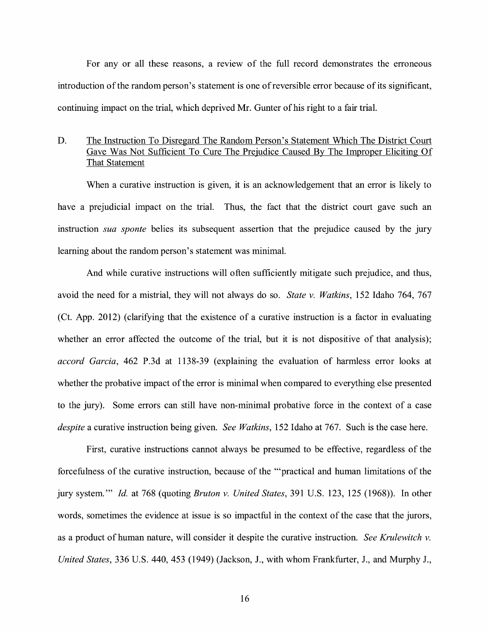For any or all these reasons, a review of the full record demonstrates the erroneous introduction of the random person's statement is one of reversible error because of its significant, continuing impact on the trial, which deprived Mr. Gunter of his right to a fair trial.

### D. The Instruction To Disregard The Random Person's Statement Which The District Court Gave Was Not Sufficient To Cure The Prejudice Caused By The Improper Eliciting Of That Statement

When a curative instruction is given, it is an acknowledgement that an error is likely to have a prejudicial impact on the trial. Thus, the fact that the district court gave such an instruction *sua sponte* belies its subsequent assertion that the prejudice caused by the jury learning about the random person's statement was minimal.

And while curative instructions will often sufficiently mitigate such prejudice, and thus, avoid the need for a mistrial, they will not always do so. *State v. Watkins,* 152 Idaho 764, 767 (Ct. App. 2012) (clarifying that the existence of a curative instruction is a factor in evaluating whether an error affected the outcome of the trial, but it is not dispositive of that analysis); *accord Garcia,* 462 P.3d at 1138-39 (explaining the evaluation of harmless error looks at whether the probative impact of the error is minimal when compared to everything else presented to the jury). Some errors can still have non-minimal probative force in the context of a case *despite* a curative instruction being given. *See Watkins,* 152 Idaho at 767. Such is the case here.

First, curative instructions cannot always be presumed to be effective, regardless of the forcefulness of the curative instruction, because of the '"practical and human limitations of the jury system."' *Id.* at 768 (quoting *Bruton v. United States,* 391 U.S. 123, 125 (1968)). In other words, sometimes the evidence at issue is so impactful in the context of the case that the jurors, as a product of human nature, will consider it despite the curative instruction. *See Krulewitch v. United States,* 336 U.S. 440, 453 (1949) (Jackson, J., with whom Frankfurter, J., and Murphy J.,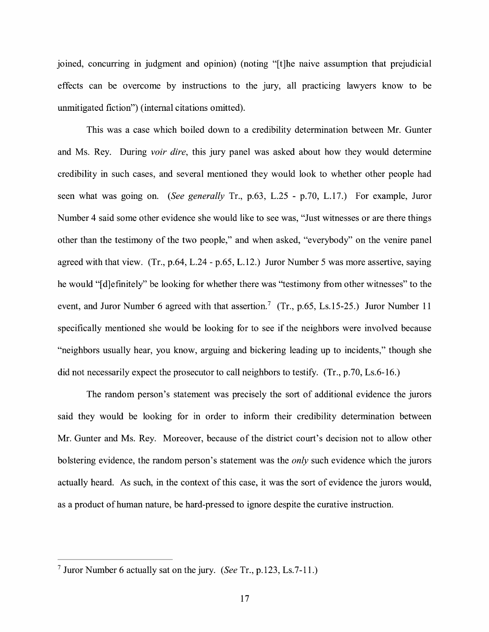joined, concurring in judgment and opinion) (noting "[t]he naive assumption that prejudicial effects can be overcome by instructions to the jury, all practicing lawyers know to be unmitigated fiction") (internal citations omitted).

This was a case which boiled down to a credibility determination between Mr. Gunter and Ms. Rey. During *voir dire,* this jury panel was asked about how they would determine credibility in such cases, and several mentioned they would look to whether other people had seen what was going on. *(See generally* Tr., p.63, L.25 - p.70, L.17.) For example, Juror Number 4 said some other evidence she would like to see was, "Just witnesses or are there things other than the testimony of the two people," and when asked, "everybody" on the venire panel agreed with that view. (Tr., p.64, L.24 - p.65, L.12.) Juror Number 5 was more assertive, saying he would "[d]efinitely" be looking for whether there was "testimony from other witnesses" to the event, and Juror Number 6 agreed with that assertion.<sup>7</sup> (Tr., p.65, Ls.15-25.) Juror Number 11 specifically mentioned she would be looking for to see if the neighbors were involved because "neighbors usually hear, you know, arguing and bickering leading up to incidents," though she did not necessarily expect the prosecutor to call neighbors to testify. (Tr., p.70, Ls.6-16.)

The random person's statement was precisely the sort of additional evidence the jurors said they would be looking for in order to inform their credibility determination between Mr. Gunter and Ms. Rey. Moreover, because of the district court's decision not to allow other bolstering evidence, the random person's statement was the *only* such evidence which the jurors actually heard. As such, in the context of this case, it was the sort of evidence the jurors would, as a product of human nature, be hard-pressed to ignore despite the curative instruction.

<sup>7</sup> Juror Number 6 actually sat on the jury. *(See* Tr., p.123, Ls.7-11.)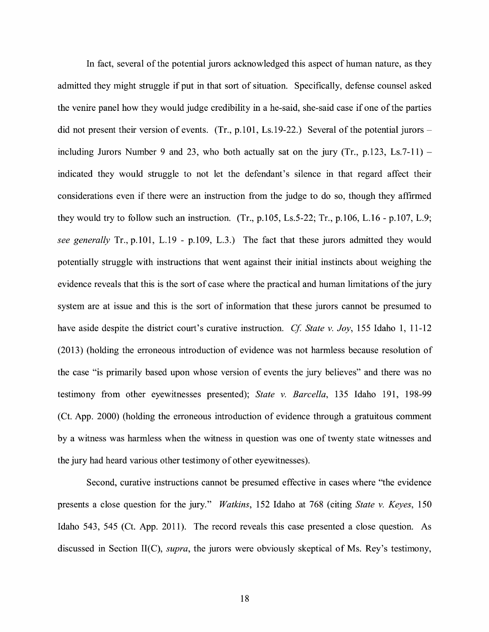In fact, several of the potential jurors acknowledged this aspect of human nature, as they admitted they might struggle if put in that sort of situation. Specifically, defense counsel asked the venire panel how they would judge credibility in a he-said, she-said case if one of the parties did not present their version of events. (Tr., p.101, Ls.19-22.) Several of the potential jurors  $$ including Jurors Number 9 and 23, who both actually sat on the jury  $(Tr, p.123, Ls.7-11)$  indicated they would struggle to not let the defendant's silence in that regard affect their considerations even if there were an instruction from the judge to do so, though they affirmed they would try to follow such an instruction.  $(Tr., p.105, Ls.5-22; Tr., p.106, L.16 - p.107, L.9;$ *see generally* Tr., p.101, L.19 - p.109, L.3.) The fact that these jurors admitted they would potentially struggle with instructions that went against their initial instincts about weighing the evidence reveals that this is the sort of case where the practical and human limitations of the jury system are at issue and this is the sort of information that these jurors cannot be presumed to have aside despite the district court's curative instruction. *Cf State v. Joy,* 155 Idaho 1, 11-12 (2013) (holding the erroneous introduction of evidence was not harmless because resolution of the case "is primarily based upon whose version of events the jury believes" and there was no testimony from other eyewitnesses presented); *State v. Barcella,* 135 Idaho 191, 198-99 (Ct. App. 2000) (holding the erroneous introduction of evidence through a gratuitous comment by a witness was harmless when the witness in question was one of twenty state witnesses and the jury had heard various other testimony of other eyewitnesses).

Second, curative instructions cannot be presumed effective in cases where "the evidence presents a close question for the jury." *Watkins,* 152 Idaho at 768 (citing *State v. Keyes,* 150 Idaho 543, 545 (Ct. App. 2011). The record reveals this case presented a close question. As discussed in Section II(C), *supra,* the jurors were obviously skeptical of Ms. Rey's testimony,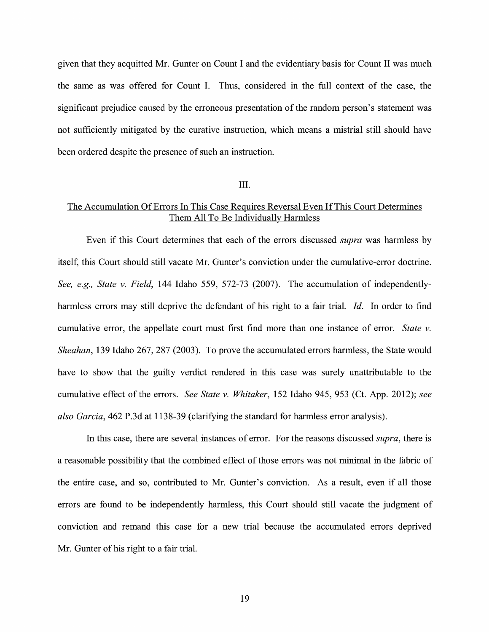given that they acquitted Mr. Gunter on Count I and the evidentiary basis for Count II was much the same as was offered for Count I. Thus, considered in the full context of the case, the significant prejudice caused by the erroneous presentation of the random person's statement was not sufficiently mitigated by the curative instruction, which means a mistrial still should have been ordered despite the presence of such an instruction.

#### III.

## The Accumulation Of Errors In This Case Requires Reversal Even If This Court Determines Them All To Be Individually Harmless

Even if this Court determines that each of the errors discussed *supra* was harmless by itself, this Court should still vacate Mr. Gunter's conviction under the cumulative-error doctrine. *See, e.g., State v. Field,* 144 Idaho 559, 572-73 (2007). The accumulation of independentlyharmless errors may still deprive the defendant of his right to a fair trial. *Id.* In order to find cumulative error, the appellate court must first find more than one instance of error. *State v. Sheahan,* 139 Idaho 267, 287 (2003). To prove the accumulated errors harmless, the State would have to show that the guilty verdict rendered in this case was surely unattributable to the cumulative effect of the errors. *See State v. Whitaker,* 152 Idaho 945, 953 (Ct. App. 2012); *see also Garcia,* 462 P.3d at 1138-39 (clarifying the standard for harmless error analysis).

In this case, there are several instances of error. For the reasons discussed *supra,* there is a reasonable possibility that the combined effect of those errors was not minimal in the fabric of the entire case, and so, contributed to Mr. Gunter's conviction. As a result, even if all those errors are found to be independently harmless, this Court should still vacate the judgment of conviction and remand this case for a new trial because the accumulated errors deprived Mr. Gunter of his right to a fair trial.